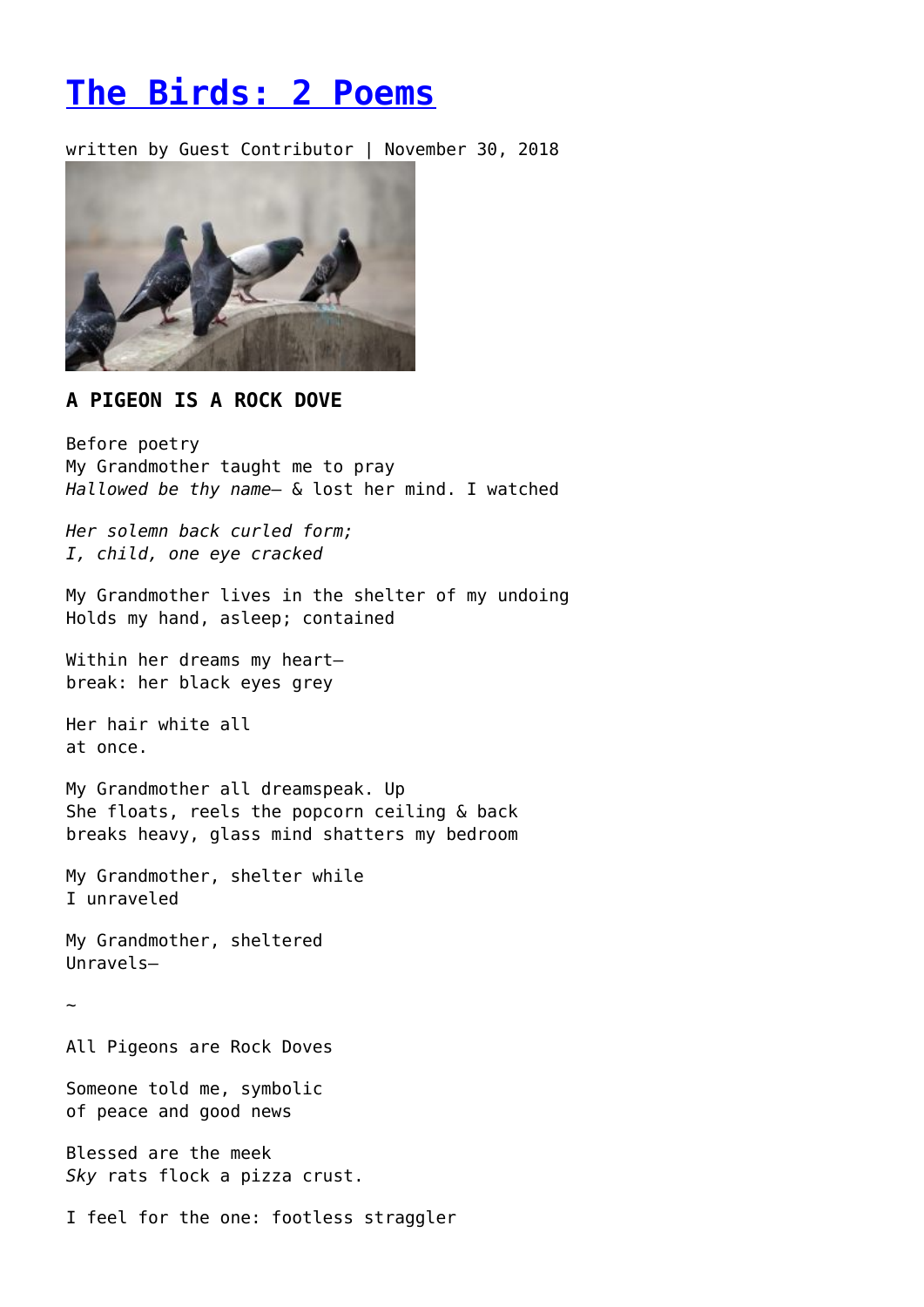## **[The Birds: 2 Poems](https://entropymag.org/the-birds-2-poems-7/)**

written by Guest Contributor | November 30, 2018



## **A PIGEON IS A ROCK DOVE**

Before poetry My Grandmother taught me to pray *Hallowed be thy name*— & lost her mind. I watched

*Her solemn back curled form; I, child, one eye cracked*

My Grandmother lives in the shelter of my undoing Holds my hand, asleep; contained

Within her dreams my heartbreak: her black eyes grey

Her hair white all at once.

My Grandmother all dreamspeak. Up She floats, reels the popcorn ceiling & back breaks heavy, glass mind shatters my bedroom

My Grandmother, shelter while I unraveled

My Grandmother, sheltered Unravels—

~

All Pigeons are Rock Doves

Someone told me, symbolic of peace and good news

Blessed are the meek *Sky* rats flock a pizza crust.

I feel for the one: footless straggler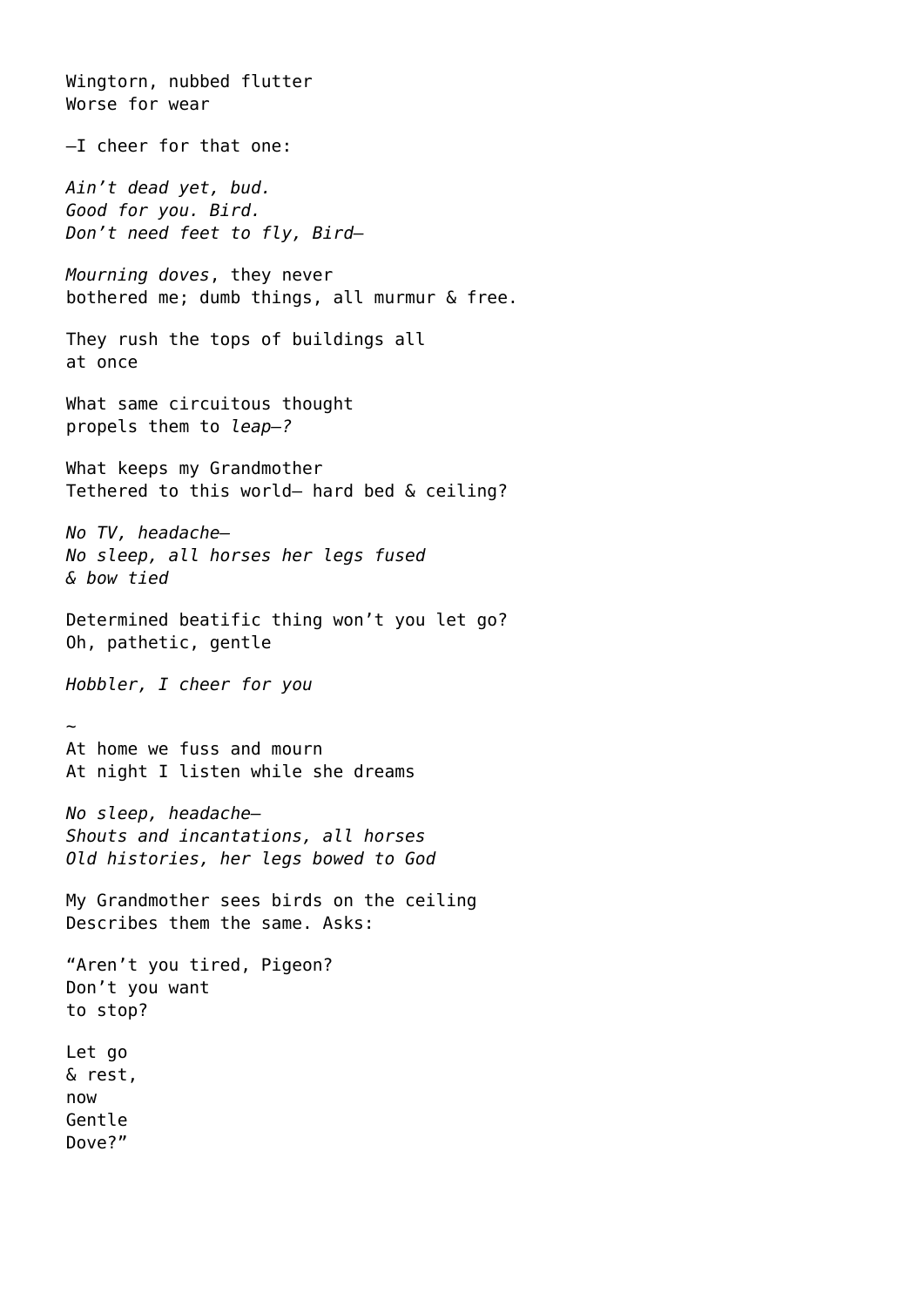Wingtorn, nubbed flutter Worse for wear —I cheer for that one: *Ain't dead yet, bud. Good for you. Bird. Don't need feet to fly, Bird— Mourning doves*, they never bothered me; dumb things, all murmur & free. They rush the tops of buildings all at once What same circuitous thought propels them to *leap—?* What keeps my Grandmother Tethered to this world— hard bed & ceiling? *No TV, headache— No sleep, all horses her legs fused & bow tied* Determined beatific thing won't you let go? Oh, pathetic, gentle *Hobbler, I cheer for you* ~ At home we fuss and mourn At night I listen while she dreams *No sleep, headache— Shouts and incantations, all horses Old histories, her legs bowed to God* My Grandmother sees birds on the ceiling Describes them the same. Asks: "Aren't you tired, Pigeon? Don't you want to stop? Let go & rest, now Gentle Dove?"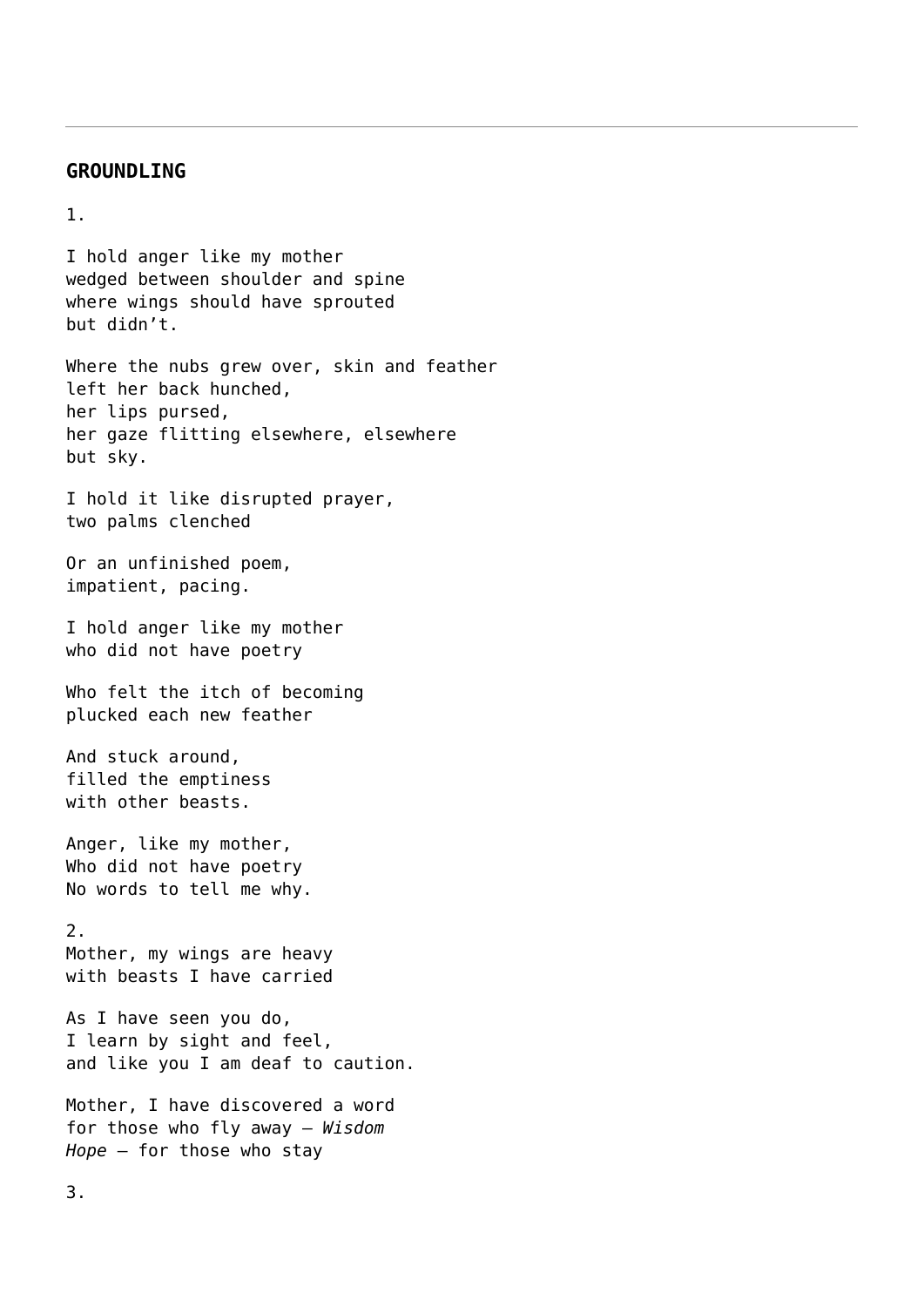## **GROUNDLING**

## 1.

I hold anger like my mother wedged between shoulder and spine where wings should have sprouted but didn't.

Where the nubs grew over, skin and feather left her back hunched, her lips pursed, her gaze flitting elsewhere, elsewhere but sky.

I hold it like disrupted prayer, two palms clenched

Or an unfinished poem, impatient, pacing.

I hold anger like my mother who did not have poetry

Who felt the itch of becoming plucked each new feather

And stuck around, filled the emptiness with other beasts.

Anger, like my mother, Who did not have poetry No words to tell me why.

2. Mother, my wings are heavy with beasts I have carried

As I have seen you do, I learn by sight and feel, and like you I am deaf to caution.

Mother, I have discovered a word for those who fly away – *Wisdom Hope* – for those who stay